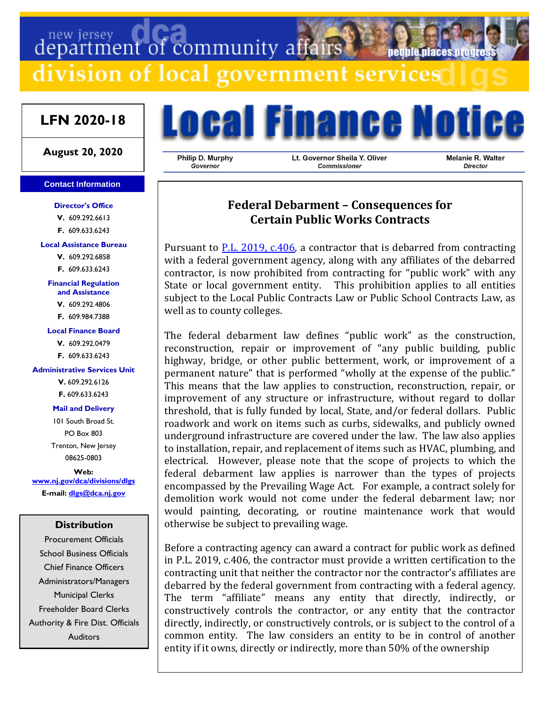# department of community affairs **Deonie Diaces um** division of local government services

# **LFN 2020-18**

### **August 20, 2020**

#### **Contact Information**

**Director's Office V.** 609.292.6613 **F.** 609.633.6243

**Local Assistance Bureau**

**V.** 609.292.6858 **F.** 609.633.6243

**Financial Regulation and Assistance**

**V.** 609.292.4806

**F.** 609.984.7388

#### **Local Finance Board**

**V.** 609.292.0479 **F.** 609.633.6243

#### **Administrative Services Unit**

**V.** 609.292.6126 **F.** 609.633.6243

**Mail and Delivery**

101 South Broad St. PO Box 803 Trenton, New Jersey 08625-0803

**Web: [www.nj.gov/dca/divisions/dlgs](http://www.nj.gov/dca/divisions/dlgs) E-mail: [dlgs@dca.nj.gov](mailto:dlgs@dca.nj.gov)**

### **Distribution**

Procurement Officials School Business Officials Chief Finance Officers Administrators/Managers Municipal Clerks Freeholder Board Clerks Authority & Fire Dist. Officials Auditors



Philip D. Murphy Governor

Lt. Governor Sheila Y. Oliver Commissioner

Melanie R. Walter Director

## **Federal Debarment – Consequences for Certain Public Works Contracts**

Pursuant to  $P.L. 2019$ ,  $C.406$ , a contractor that is debarred from contracting with a federal government agency, along with any affiliates of the debarred contractor, is now prohibited from contracting for "public work" with any State or local government entity. This prohibition applies to all entities subject to the Local Public Contracts Law or Public School Contracts Law, as well as to county colleges.

The federal debarment law defines "public work" as the construction, reconstruction, repair or improvement of "any public building, public highway, bridge, or other public betterment, work, or improvement of a permanent nature" that is performed "wholly at the expense of the public." This means that the law applies to construction, reconstruction, repair, or improvement of any structure or infrastructure, without regard to dollar threshold, that is fully funded by local, State, and/or federal dollars. Public roadwork and work on items such as curbs, sidewalks, and publicly owned underground infrastructure are covered under the law. The law also applies to installation, repair, and replacement of items such as HVAC, plumbing, and electrical. However, please note that the scope of projects to which the federal debarment law applies is narrower than the types of projects encompassed by the Prevailing Wage Act. For example, a contract solely for demolition work would not come under the federal debarment law; nor would painting, decorating, or routine maintenance work that would otherwise be subject to prevailing wage.

Before a contracting agency can award a contract for public work as defined in P.L. 2019, c.406, the contractor must provide a written certification to the contracting unit that neither the contractor nor the contractor's affiliates are debarred by the federal government from contracting with a federal agency. The term "affiliate" means any entity that directly, indirectly, or constructively controls the contractor, or any entity that the contractor directly, indirectly, or constructively controls, or is subject to the control of a common entity. The law considers an entity to be in control of another entity if it owns, directly or indirectly, more than 50% of the ownership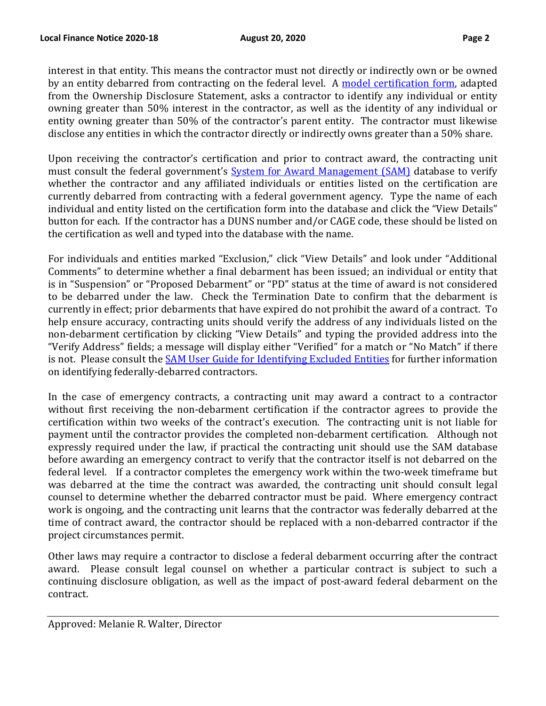interest in that entity. This means the contractor must not directly or indirectly own or be owned by an entity debarred from contracting on the federal level. A [model certification form,](https://www.nj.gov/dca/divisions/dlgs/programs/lpcl_docs/DLGS%20Federal%20Debarment%20Model%20Form.doc) adapted from the Ownership Disclosure Statement, asks a contractor to identify any individual or entity owning greater than 50% interest in the contractor, as well as the identity of any individual or entity owning greater than 50% of the contractor's parent entity. The contractor must likewise disclose any entities in which the contractor directly or indirectly owns greater than a 50% share.

Upon receiving the contractor's certification and prior to contract award, the contracting unit must consult the federal government's [System for Award Management \(SAM\)](https://www.sam.gov/SAM/pages/public/searchRecords/search.jsf) database to verify whether the contractor and any affiliated individuals or entities listed on the certification are currently debarred from contracting with a federal government agency. Type the name of each individual and entity listed on the certification form into the database and click the "View Details" button for each. If the contractor has a DUNS number and/or CAGE code, these should be listed on the certification as well and typed into the database with the name.

For individuals and entities marked "Exclusion," click "View Details" and look under "Additional Comments" to determine whether a final debarment has been issued; an individual or entity that is in "Suspension" or "Proposed Debarment" or "PD" status at the time of award is not considered to be debarred under the law. Check the Termination Date to confirm that the debarment is currently in effect; prior debarments that have expired do not prohibit the award of a contract. To help ensure accuracy, contracting units should verify the address of any individuals listed on the non-debarment certification by clicking "View Details" and typing the provided address into the "Verify Address" fields; a message will display either "Verified" for a match or "No Match" if there is not. Please consult the **SAM User Guide for Identifying Excluded Entities** for further information on identifying federally-debarred contractors.

In the case of emergency contracts, a contracting unit may award a contract to a contractor without first receiving the non-debarment certification if the contractor agrees to provide the certification within two weeks of the contract's execution. The contracting unit is not liable for payment until the contractor provides the completed non-debarment certification. Although not expressly required under the law, if practical the contracting unit should use the SAM database before awarding an emergency contract to verify that the contractor itself is not debarred on the federal level. If a contractor completes the emergency work within the two-week timeframe but was debarred at the time the contract was awarded, the contracting unit should consult legal counsel to determine whether the debarred contractor must be paid. Where emergency contract work is ongoing, and the contracting unit learns that the contractor was federally debarred at the time of contract award, the contractor should be replaced with a non-debarred contractor if the project circumstances permit.

Other laws may require a contractor to disclose a federal debarment occurring after the contract award. Please consult legal counsel on whether a particular contract is subject to such a continuing disclosure obligation, as well as the impact of post-award federal debarment on the contract.